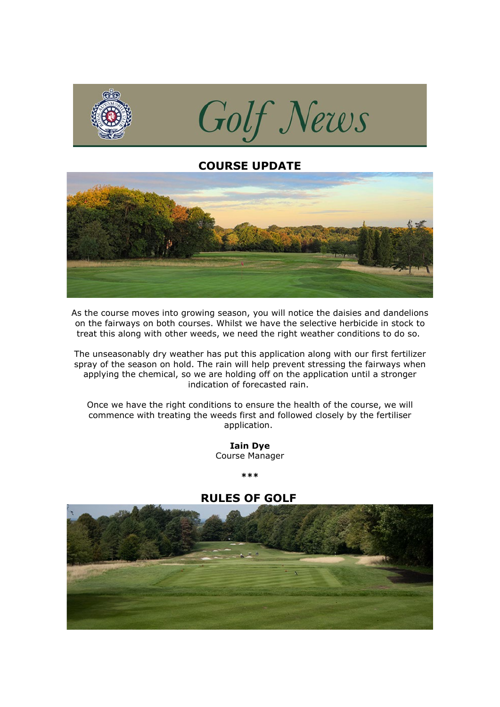

## **COURSE UPDATE**



As the course moves into growing season, you will notice the daisies and dandelions on the fairways on both courses. Whilst we have the selective herbicide in stock to treat this along with other weeds, we need the right weather conditions to do so.

The unseasonably dry weather has put this application along with our first fertilizer spray of the season on hold. The rain will help prevent stressing the fairways when applying the chemical, so we are holding off on the application until a stronger indication of forecasted rain.

Once we have the right conditions to ensure the health of the course, we will commence with treating the weeds first and followed closely by the fertiliser application.

> **Iain Dye** Course Manager

> > **\*\*\***

# **RULES OF GOLF**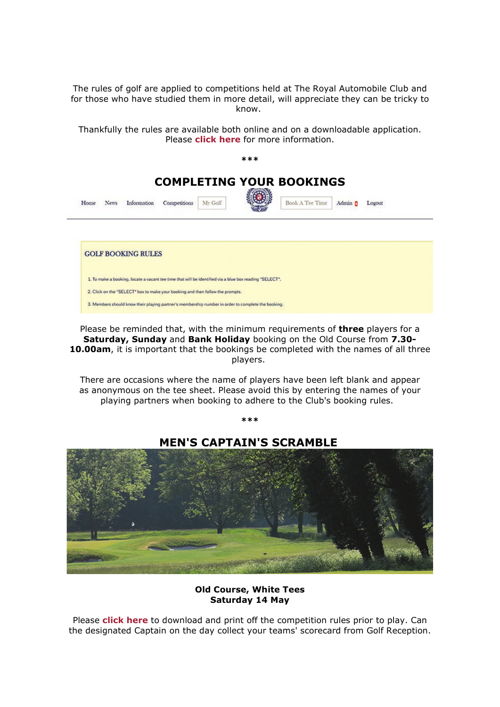The rules of golf are applied to competitions held at The Royal Automobile Club and for those who have studied them in more detail, will appreciate they can be tricky to know.

Thankfully the rules are available both online and on a downloadable application. Please **[click here](http://click.email.royalautomobileclub.co.uk/?qs=ff3abb4e466ece99589d9609467b7fb63a5061c7d9ffe9bbb2a99513f104f24d6f5fd18aa29375da080b4bdebb173c020e0768d47650b250)** for more information.



Please be reminded that, with the minimum requirements of **three** players for a **Saturday, Sunday** and **Bank Holiday** booking on the Old Course from **7.30- 10.00am**, it is important that the bookings be completed with the names of all three players.

There are occasions where the name of players have been left blank and appear as anonymous on the tee sheet. Please avoid this by entering the names of your playing partners when booking to adhere to the Club's booking rules.

**\*\*\***

**MEN'S CAPTAIN'S SCRAMBLE**

**Old Course, White Tees Saturday 14 May**

Please **[click here](http://click.email.royalautomobileclub.co.uk/?qs=ff3abb4e466ece9913e808a00835fc100183317f0df7fc399ffa1717ac22c8094999af4a744bca706fd748d01ffec70fd82b82622147dd4f)** to download and print off the competition rules prior to play. Can the designated Captain on the day collect your teams' scorecard from Golf Reception.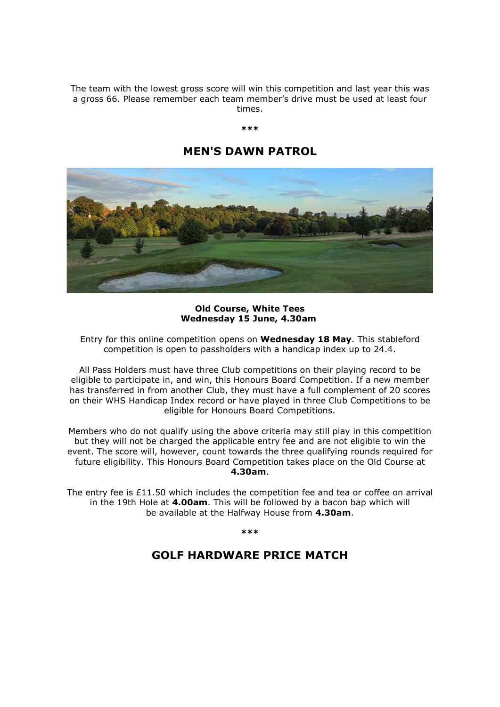The team with the lowest gross score will win this competition and last year this was a gross 66. Please remember each team member's drive must be used at least four times.

### **\*\*\***

## **MEN'S DAWN PATROL**



**Old Course, White Tees Wednesday 15 June, 4.30am**

Entry for this online competition opens on **Wednesday 18 May**. This stableford competition is open to passholders with a handicap index up to 24.4.

All Pass Holders must have three Club competitions on their playing record to be eligible to participate in, and win, this Honours Board Competition. If a new member has transferred in from another Club, they must have a full complement of 20 scores on their WHS Handicap Index record or have played in three Club Competitions to be eligible for Honours Board Competitions.

Members who do not qualify using the above criteria may still play in this competition but they will not be charged the applicable entry fee and are not eligible to win the event. The score will, however, count towards the three qualifying rounds required for future eligibility. This Honours Board Competition takes place on the Old Course at **4.30am**.

The entry fee is  $£11.50$  which includes the competition fee and tea or coffee on arrival in the 19th Hole at **4.00am**. This will be followed by a bacon bap which will be available at the Halfway House from **4.30am**.

**\*\*\***

### **GOLF HARDWARE PRICE MATCH**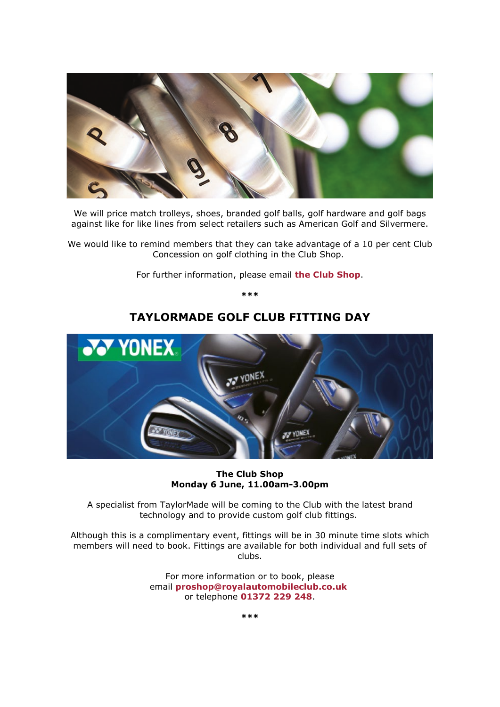

We will price match trolleys, shoes, branded golf balls, golf hardware and golf bags against like for like lines from select retailers such as American Golf and Silvermere.

We would like to remind members that they can take advantage of a 10 per cent Club Concession on golf clothing in the Club Shop.

For further information, please email **[the Club Shop](mailto:proshop@royalautomobileclub.co.uk%C2%A0?subject=Hardware%20Price%20Match)**.

**\*\*\***

# **TAYLORMADE GOLF CLUB FITTING DAY**



**The Club Shop Monday 6 June, 11.00am-3.00pm**

A specialist from TaylorMade will be coming to the Club with the latest brand technology and to provide custom golf club fittings.

Although this is a complimentary event, fittings will be in 30 minute time slots which members will need to book. Fittings are available for both individual and full sets of clubs.

> For more information or to book, please email **[proshop@royalautomobileclub.co.uk](mailto:proshop@royalautomobileclub.co.uk?subject=Yonex%20Golf%20Fitting%20Day%2C%20Saturday%207%20May)** or telephone **[01372 229 248](tel:01372229248)**.